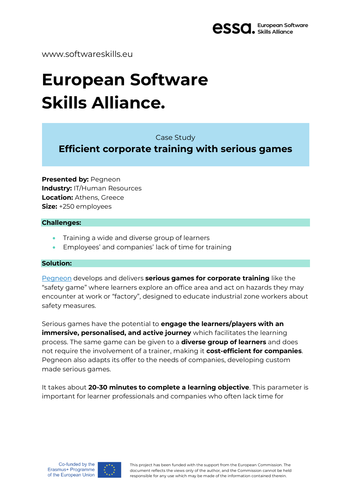

# www.softwareskills.eu

# **European Software Skills Alliance.**

Case Study

**Efficient corporate training with serious games**

**Presented by:** Pegneon **Industry: IT/Human Resources Location:** Athens, Greece **Size:** +250 employees

#### **Challenges:**

- Training a wide and diverse group of learners
- Employees' and companies' lack of time for training

## **Solution:**

[Pegneon](https://www.pegneon.com/) develops and delivers **serious games for corporate training** like the "safety game" where learners explore an office area and act on hazards they may encounter at work or "factory", designed to educate industrial zone workers about safety measures.

Serious games have the potential to **engage the learners/players with an immersive, personalised, and active journey** which facilitates the learning process. The same game can be given to a **diverse group of learners** and does not require the involvement of a trainer, making it **cost-efficient for companies**. Pegneon also adapts its offer to the needs of companies, developing custom made serious games.

It takes about **20-30 minutes to complete a learning objective**. This parameter is important for learner professionals and companies who often lack time for



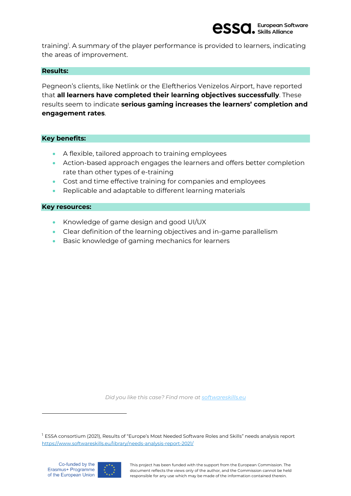

training<sup>1</sup>. A summary of the player performance is provided to learners, indicating the areas of improvement.

#### **Results:**

Pegneon's clients, like Netlink or the Eleftherios Venizelos Airport, have reported that **all learners have completed their learning objectives successfully**. These results seem to indicate **serious gaming increases the learners' completion and engagement rates**.

## **Key benefits:**

- A flexible, tailored approach to training employees
- Action-based approach engages the learners and offers better completion rate than other types of e-training
- Cost and time effective training for companies and employees
- Replicable and adaptable to different learning materials

#### **Key resources:**

- Knowledge of game design and good UI/UX
- Clear definition of the learning objectives and in-game parallelism
- Basic knowledge of gaming mechanics for learners

*Did you like this case? Find more at [softwareskills.eu](https://www.softwareskills.eu/resources/)*



This project has been funded with the support from the European Commission. The document reflects the views only of the author, and the Commission cannot be held responsible for any use which may be made of the information contained therein.

<sup>&</sup>lt;sup>1</sup> ESSA consortium (2021), Results of "Europe's Most Needed Software Roles and Skills" needs analysis report <https://www.softwareskills.eu/library/needs-analysis-report-2021/>